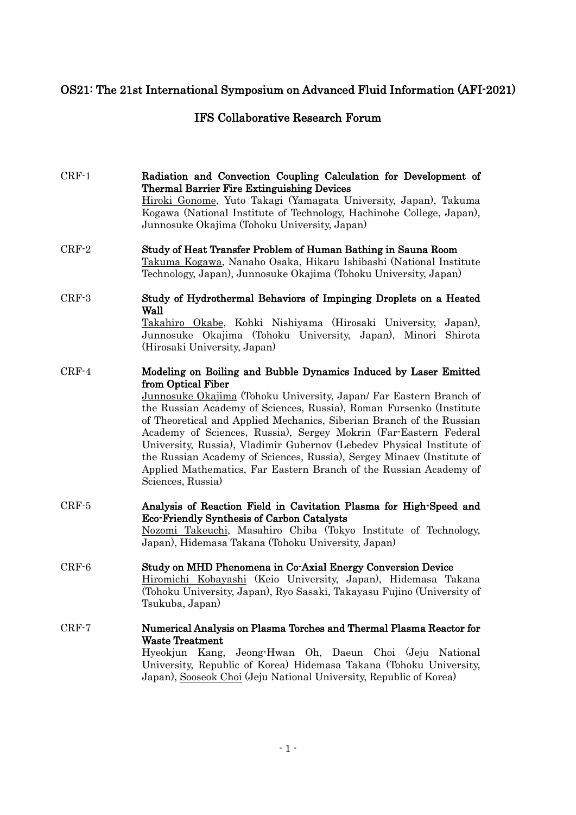# OS21: The 21st International Symposium on Advanced Fluid Information (AFI-2021)

# IFS Collaborative Research Forum

- CRF-1 CRF-2 Radiation and Convection Coupling Calculation for Development of Thermal Barrier Fire Extinguishing Devices Hiroki Gonome, Yuto Takagi (Yamagata University, Japan), Takuma Kogawa (National Institute of Technology, Hachinohe College, Japan), Junnosuke Okajima (Tohoku University, Japan) Study of Heat Transfer Problem of Human Bathing in Sauna Room
- Takuma Kogawa, Nanaho Osaka, Hikaru Ishibashi (National Institute Technology, Japan), Junnosuke Okajima (Tohoku University, Japan)
- CRF-3 Study of Hydrothermal Behaviors of Impinging Droplets on a Heated Wall Takahiro Okabe, Kohki Nishiyama (Hirosaki University, Japan),

Junnosuke Okajima (Tohoku University, Japan), Minori Shirota (Hirosaki University, Japan)

CRF-4 Modeling on Boiling and Bubble Dynamics Induced by Laser Emitted from Optical Fiber

Junnosuke Okajima (Tohoku University, Japan/ Far Eastern Branch of the Russian Academy of Sciences, Russia), Roman Fursenko (Institute of Theoretical and Applied Mechanics, Siberian Branch of the Russian Academy of Sciences, Russia), Sergey Mokrin (Far-Eastern Federal University, Russia), Vladimir Gubernov (Lebedev Physical Institute of the Russian Academy of Sciences, Russia), Sergey Minaev (Institute of Applied Mathematics, Far Eastern Branch of the Russian Academy of Sciences, Russia)

CRF-5 Analysis of Reaction Field in Cavitation Plasma for High-Speed and Eco-Friendly Synthesis of Carbon Catalysts Nozomi Takeuchi, Masahiro Chiba (Tokyo Institute of Technology,

Japan), Hidemasa Takana (Tohoku University, Japan)

- CRF-6 Study on MHD Phenomena in Co-Axial Energy Conversion Device Hiromichi Kobayashi (Keio University, Japan), Hidemasa Takana (Tohoku University, Japan), Ryo Sasaki, Takayasu Fujino (University of Tsukuba, Japan)
- CRF-7 Numerical Analysis on Plasma Torches and Thermal Plasma Reactor for Waste Treatment Hyeokjun Kang, Jeong-Hwan Oh, Daeun Choi (Jeju National University, Republic of Korea) Hidemasa Takana (Tohoku University, Japan), Sooseok Choi (Jeju National University, Republic of Korea)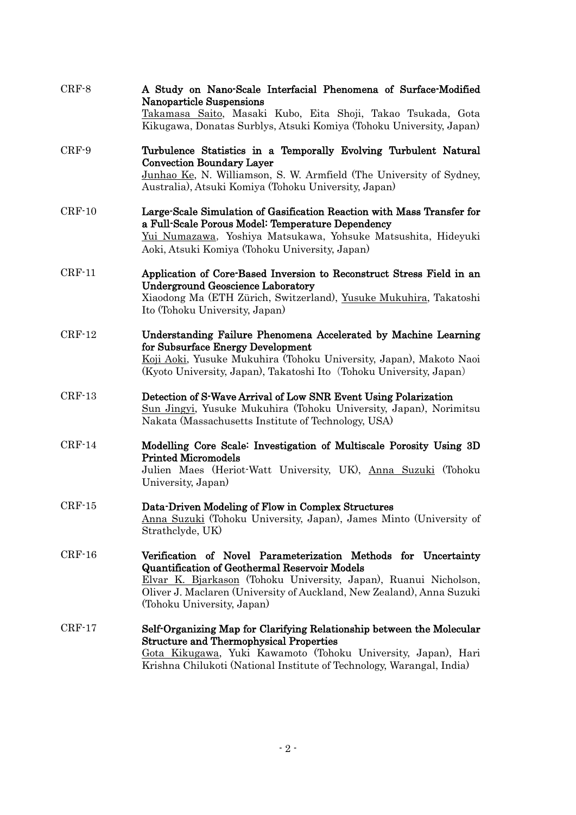| $CRF-8$  | A Study on Nano-Scale Interfacial Phenomena of Surface-Modified<br><b>Nanoparticle Suspensions</b><br>Takamasa Saito, Masaki Kubo, Eita Shoji, Takao Tsukada, Gota<br>Kikugawa, Donatas Surblys, Atsuki Komiya (Tohoku University, Japan)                                                  |
|----------|--------------------------------------------------------------------------------------------------------------------------------------------------------------------------------------------------------------------------------------------------------------------------------------------|
| $CRF-9$  | Turbulence Statistics in a Temporally Evolving Turbulent Natural<br><b>Convection Boundary Layer</b><br>Junhao Ke, N. Williamson, S. W. Armfield (The University of Sydney,<br>Australia), Atsuki Komiya (Tohoku University, Japan)                                                        |
| $CRF-10$ | Large-Scale Simulation of Gasification Reaction with Mass Transfer for<br>a Full-Scale Porous Model: Temperature Dependency<br>Yui Numazawa, Yoshiya Matsukawa, Yohsuke Matsushita, Hideyuki<br>Aoki, Atsuki Komiya (Tohoku University, Japan)                                             |
| $CRF-11$ | Application of Core-Based Inversion to Reconstruct Stress Field in an<br><b>Underground Geoscience Laboratory</b><br>Xiaodong Ma (ETH Zürich, Switzerland), Yusuke Mukuhira, Takatoshi<br>Ito (Tohoku University, Japan)                                                                   |
| $CRF-12$ | Understanding Failure Phenomena Accelerated by Machine Learning<br>for Subsurface Energy Development<br>Koji Aoki, Yusuke Mukuhira (Tohoku University, Japan), Makoto Naoi<br>(Kyoto University, Japan), Takatoshi Ito (Tohoku University, Japan)                                          |
| $CRF-13$ | Detection of S-Wave Arrival of Low SNR Event Using Polarization<br>Sun Jingyi, Yusuke Mukuhira (Tohoku University, Japan), Norimitsu<br>Nakata (Massachusetts Institute of Technology, USA)                                                                                                |
| $CRF-14$ | Modelling Core Scale: Investigation of Multiscale Porosity Using 3D<br><b>Printed Micromodels</b><br>Julien Maes (Heriot-Watt University, UK), Anna Suzuki (Tohoku<br>University, Japan)                                                                                                   |
| $CRF-15$ | Data-Driven Modeling of Flow in Complex Structures<br>Anna Suzuki (Tohoku University, Japan), James Minto (University of<br>Strathclyde, UK)                                                                                                                                               |
| $CRF-16$ | Verification of Novel Parameterization Methods for Uncertainty<br>Quantification of Geothermal Reservoir Models<br>Elvar K. Bjarkason (Tohoku University, Japan), Ruanui Nicholson,<br>Oliver J. Maclaren (University of Auckland, New Zealand), Anna Suzuki<br>(Tohoku University, Japan) |
| $CRF-17$ | Self-Organizing Map for Clarifying Relationship between the Molecular<br><b>Structure and Thermophysical Properties</b><br>Gota Kikugawa, Yuki Kawamoto (Tohoku University, Japan), Hari<br>Krishna Chilukoti (National Institute of Technology, Warangal, India)                          |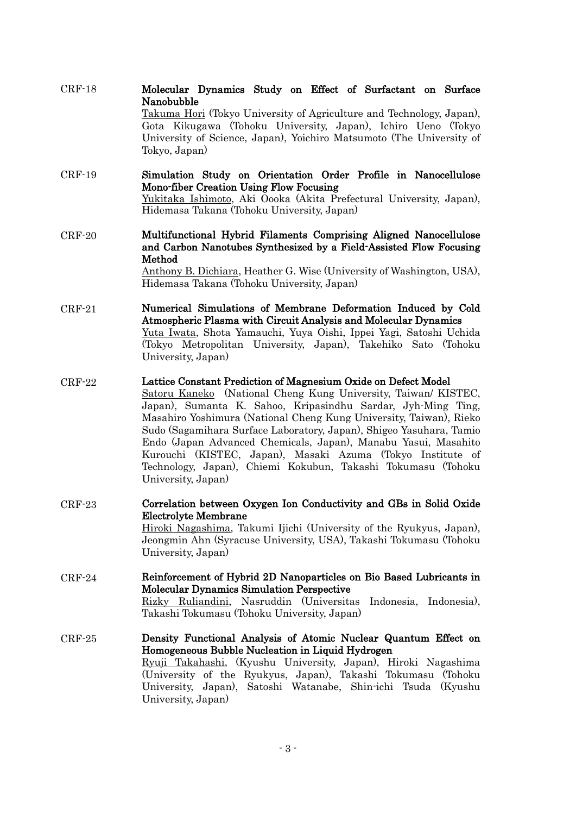| $CRF-18$ | Molecular Dynamics Study on Effect of Surfactant on Surface                                               |
|----------|-----------------------------------------------------------------------------------------------------------|
|          | Nanobubble                                                                                                |
|          | Takuma Hori (Tokyo University of Agriculture and Technology, Japan),                                      |
|          | Gota Kikugawa (Tohoku University, Japan), Ichiro Ueno (Tokyo                                              |
|          | University of Science, Japan), Yoichiro Matsumoto (The University of                                      |
|          | Tokyo, Japan)                                                                                             |
| $CRF-19$ | Simulation Study on Orientation Order Profile in Nanocellulose<br>Mono-fiber Creation Using Flow Focusing |
|          | Yukitaka Ishimoto, Aki Oooka (Akita Prefectural University, Japan),                                       |
|          | Hidemasa Takana (Tohoku University, Japan)                                                                |
|          |                                                                                                           |

 $CDR<sub>18</sub>$ 

CRF-20 Multifunctional Hybrid Filaments Comprising Aligned Nanocellulose and Carbon Nanotubes Synthesized by a Field-Assisted Flow Focusing Method

Anthony B. Dichiara, Heather G. Wise (University of Washington, USA), Hidemasa Takana (Tohoku University, Japan)

CRF-21 Numerical Simulations of Membrane Deformation Induced by Cold Atmospheric Plasma with Circuit Analysis and Molecular Dynamics Yuta Iwata, Shota Yamauchi, Yuya Oishi, Ippei Yagi, Satoshi Uchida (Tokyo Metropolitan University, Japan), Takehiko Sato (Tohoku University, Japan)

#### CRF-22 Lattice Constant Prediction of Magnesium Oxide on Defect Model

Satoru Kaneko (National Cheng Kung University, Taiwan/ KISTEC, Japan), Sumanta K. Sahoo, Kripasindhu Sardar, Jyh-Ming Ting, Masahiro Yoshimura (National Cheng Kung University, Taiwan), Rieko Sudo (Sagamihara Surface Laboratory, Japan), Shigeo Yasuhara, Tamio Endo (Japan Advanced Chemicals, Japan), Manabu Yasui, Masahito Kurouchi (KISTEC, Japan), Masaki Azuma (Tokyo Institute of Technology, Japan), Chiemi Kokubun, Takashi Tokumasu (Tohoku University, Japan)

CRF-23 Correlation between Oxygen Ion Conductivity and GBs in Solid Oxide Electrolyte Membrane

Hiroki Nagashima, Takumi Ijichi (University of the Ryukyus, Japan), Jeongmin Ahn (Syracuse University, USA), Takashi Tokumasu (Tohoku University, Japan)

- CRF-24 Reinforcement of Hybrid 2D Nanoparticles on Bio Based Lubricants in Molecular Dynamics Simulation Perspective Rizky Ruliandini, Nasruddin (Universitas Indonesia, Indonesia), Takashi Tokumasu (Tohoku University, Japan)
- CRF-25 Density Functional Analysis of Atomic Nuclear Quantum Effect on Homogeneous Bubble Nucleation in Liquid Hydrogen Ryuji Takahashi, (Kyushu University, Japan), Hiroki Nagashima (University of the Ryukyus, Japan), Takashi Tokumasu (Tohoku University, Japan), Satoshi Watanabe, Shin-ichi Tsuda (Kyushu University, Japan)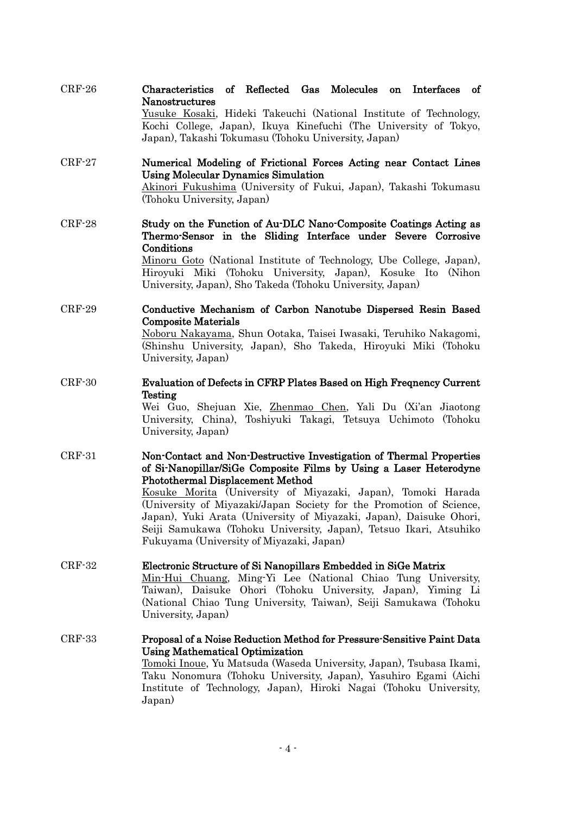| $\mathrm{CRF}\text{-}26$ | Characteristics of Reflected Gas Molecules on Interfaces of                      |  |  |  |  |
|--------------------------|----------------------------------------------------------------------------------|--|--|--|--|
|                          | <b>Nanostructures</b>                                                            |  |  |  |  |
|                          | ,但是,我们的人们就会不会不会。""我们的人们,我们的人们,我们的人们,我们的人们,我们的人们,我们的人们,我们的人们,我们的人们,我们的人们,我们的人们,我们 |  |  |  |  |

Yusuke Kosaki, Hideki Takeuchi (National Institute of Technology, Kochi College, Japan), Ikuya Kinefuchi (The University of Tokyo, Japan), Takashi Tokumasu (Tohoku University, Japan)

### CRF-27 Numerical Modeling of Frictional Forces Acting near Contact Lines Using Molecular Dynamics Simulation

Akinori Fukushima (University of Fukui, Japan), Takashi Tokumasu (Tohoku University, Japan)

CRF-28 Study on the Function of Au-DLC Nano-Composite Coatings Acting as Thermo-Sensor in the Sliding Interface under Severe Corrosive Conditions

Minoru Goto (National Institute of Technology, Ube College, Japan), Hiroyuki Miki (Tohoku University, Japan), Kosuke Ito (Nihon University, Japan), Sho Takeda (Tohoku University, Japan)

CRF-29 Conductive Mechanism of Carbon Nanotube Dispersed Resin Based Composite Materials

> Noboru Nakayama, Shun Ootaka, Taisei Iwasaki, Teruhiko Nakagomi, (Shinshu University, Japan), Sho Takeda, Hiroyuki Miki (Tohoku University, Japan)

CRF-30 Evaluation of Defects in CFRP Plates Based on High Freqnency Current Testing

Wei Guo, Shejuan Xie, Zhenmao Chen, Yali Du (Xi'an Jiaotong University, China), Toshiyuki Takagi, Tetsuya Uchimoto (Tohoku University, Japan)

CRF-31 Non-Contact and Non-Destructive Investigation of Thermal Properties of Si-Nanopillar/SiGe Composite Films by Using a Laser Heterodyne Photothermal Displacement Method

Kosuke Morita (University of Miyazaki, Japan), Tomoki Harada (University of Miyazaki/Japan Society for the Promotion of Science, Japan), Yuki Arata (University of Miyazaki, Japan), Daisuke Ohori, Seiji Samukawa (Tohoku University, Japan), Tetsuo Ikari, Atsuhiko Fukuyama (University of Miyazaki, Japan)

#### CRF-32 Electronic Structure of Si Nanopillars Embedded in SiGe Matrix

Min-Hui Chuang, Ming-Yi Lee (National Chiao Tung University, Taiwan), Daisuke Ohori (Tohoku University, Japan), Yiming Li (National Chiao Tung University, Taiwan), Seiji Samukawa (Tohoku University, Japan)

### CRF-33 Proposal of a Noise Reduction Method for Pressure-Sensitive Paint Data Using Mathematical Optimization Tomoki Inoue, Yu Matsuda (Waseda University, Japan), Tsubasa Ikami, Taku Nonomura (Tohoku University, Japan), Yasuhiro Egami (Aichi Institute of Technology, Japan), Hiroki Nagai (Tohoku University,

Japan)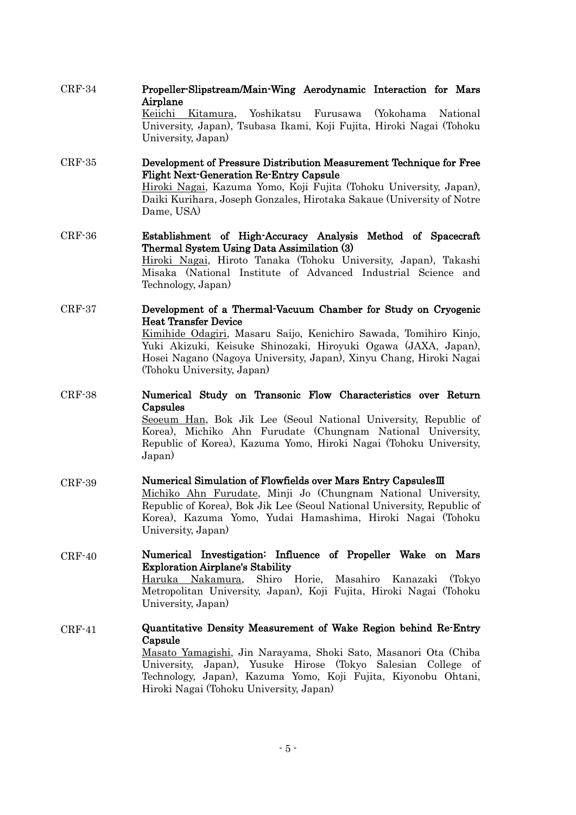|          | Keiichi Kitamura, Yoshikatsu Furusawa (Yokohama National<br>University, Japan), Tsubasa Ikami, Koji Fujita, Hiroki Nagai (Tohoku<br>University, Japan)                                                                                                                                                                                   |
|----------|------------------------------------------------------------------------------------------------------------------------------------------------------------------------------------------------------------------------------------------------------------------------------------------------------------------------------------------|
| $CRF-35$ | Development of Pressure Distribution Measurement Technique for Free<br><b>Flight Next Generation Re-Entry Capsule</b><br>Hiroki Nagai, Kazuma Yomo, Koji Fujita (Tohoku University, Japan),<br>Daiki Kurihara, Joseph Gonzales, Hirotaka Sakaue (University of Notre<br>Dame, USA)                                                       |
| $CRF-36$ | Establishment of High-Accuracy Analysis Method of Spacecraft<br>Thermal System Using Data Assimilation (3)<br>Hiroki Nagai, Hiroto Tanaka (Tohoku University, Japan), Takashi<br>Misaka (National Institute of Advanced Industrial Science and<br>Technology, Japan)                                                                     |
| $CRF-37$ | Development of a Thermal-Vacuum Chamber for Study on Cryogenic<br><b>Heat Transfer Device</b><br>Kimihide Odagiri, Masaru Saijo, Kenichiro Sawada, Tomihiro Kinjo,<br>Yuki Akizuki, Keisuke Shinozaki, Hiroyuki Ogawa (JAXA, Japan),<br>Hosei Nagano (Nagoya University, Japan), Xinyu Chang, Hiroki Nagai<br>(Tohoku University, Japan) |
| CRF-38   | Numerical Study on Transonic Flow Characteristics over Return<br>Capsules<br>Seoeum Han, Bok Jik Lee (Seoul National University, Republic of<br>Korea), Michiko Ahn Furudate (Chungnam National University,<br>Republic of Korea), Kazuma Yomo, Hiroki Nagai (Tohoku University,<br>Japan)                                               |
| $CRF-39$ | Numerical Simulation of Flowfields over Mars Entry Capsules III<br>Michiko Ahn Furudate, Minji Jo (Chungnam National University,<br>Republic of Korea), Bok Jik Lee (Seoul National University, Republic of<br>Korea), Kazuma Yomo, Yudai Hamashima, Hiroki Nagai (Tohoku<br>University, Japan)                                          |
| $CRF-40$ | Numerical Investigation: Influence of Propeller Wake on Mars<br><b>Exploration Airplane's Stability</b><br>Haruka Nakamura, Shiro Horie, Masahiro Kanazaki (Tokyo<br>Metropolitan University, Japan), Koji Fujita, Hiroki Nagai (Tohoku<br>University, Japan)                                                                            |
| $CRF-41$ | Quantitative Density Measurement of Wake Region behind Re-Entry<br>Capsule<br>Masato Yamagishi, Jin Narayama, Shoki Sato, Masanori Ota (Chiba<br>University, Japan), Yusuke Hirose (Tokyo Salesian College of<br>Technology, Japan), Kazuma Yomo, Koji Fujita, Kiyonobu Ohtani,<br>Hiroki Nagai (Tohoku University, Japan)               |

Propeller-Slipstream/Main-Wing Aerodynamic Interaction for Mars

CRF-34

Airplane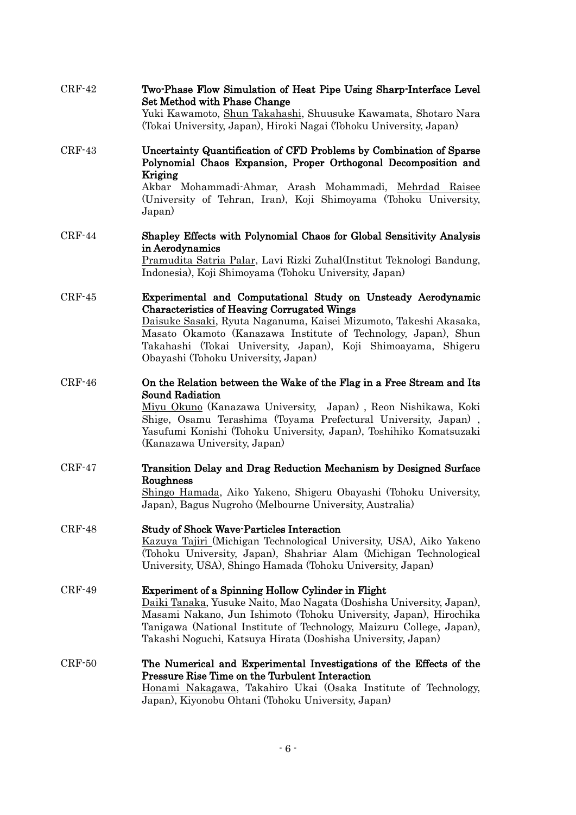| $CRF-42$ | Two-Phase Flow Simulation of Heat Pipe Using Sharp-Interface Level<br>Set Method with Phase Change<br>Yuki Kawamoto, Shun Takahashi, Shuusuke Kawamata, Shotaro Nara<br>(Tokai University, Japan), Hiroki Nagai (Tohoku University, Japan)                                                                                                                        |
|----------|-------------------------------------------------------------------------------------------------------------------------------------------------------------------------------------------------------------------------------------------------------------------------------------------------------------------------------------------------------------------|
| $CRF-43$ | Uncertainty Quantification of CFD Problems by Combination of Sparse<br>Polynomial Chaos Expansion, Proper Orthogonal Decomposition and<br>Kriging<br>Akbar Mohammadi-Ahmar, Arash Mohammadi, Mehrdad Raisee<br>(University of Tehran, Iran), Koji Shimoyama (Tohoku University,<br>Japan)                                                                         |
| $CRF-44$ | Shapley Effects with Polynomial Chaos for Global Sensitivity Analysis<br>in Aerodynamics<br>Pramudita Satria Palar, Lavi Rizki Zuhal(Institut Teknologi Bandung,<br>Indonesia), Koji Shimoyama (Tohoku University, Japan)                                                                                                                                         |
| $CRF-45$ | Experimental and Computational Study on Unsteady Aerodynamic<br><b>Characteristics of Heaving Corrugated Wings</b><br>Daisuke Sasaki, Ryuta Naganuma, Kaisei Mizumoto, Takeshi Akasaka,<br>Masato Okamoto (Kanazawa Institute of Technology, Japan), Shun<br>Takahashi (Tokai University, Japan), Koji Shimoayama, Shigeru<br>Obayashi (Tohoku University, Japan) |
| $CRF-46$ | On the Relation between the Wake of the Flag in a Free Stream and Its<br><b>Sound Radiation</b><br>Miyu Okuno (Kanazawa University, Japan), Reon Nishikawa, Koki<br>Shige, Osamu Terashima (Toyama Prefectural University, Japan),<br>Yasufumi Konishi (Tohoku University, Japan), Toshihiko Komatsuzaki<br>(Kanazawa University, Japan)                          |
| $CRF-47$ | Transition Delay and Drag Reduction Mechanism by Designed Surface<br>Roughness<br>Shingo Hamada, Aiko Yakeno, Shigeru Obayashi (Tohoku University,<br>Japan), Bagus Nugroho (Melbourne University, Australia)                                                                                                                                                     |
| $CRF-48$ | <b>Study of Shock Wave-Particles Interaction</b><br>Kazuya Tajiri (Michigan Technological University, USA), Aiko Yakeno<br>(Tohoku University, Japan), Shahriar Alam (Michigan Technological<br>University, USA), Shingo Hamada (Tohoku University, Japan)                                                                                                        |
| $CRF-49$ | Experiment of a Spinning Hollow Cylinder in Flight<br>Daiki Tanaka, Yusuke Naito, Mao Nagata (Doshisha University, Japan),<br>Masami Nakano, Jun Ishimoto (Tohoku University, Japan), Hirochika<br>Tanigawa (National Institute of Technology, Maizuru College, Japan),<br>Takashi Noguchi, Katsuya Hirata (Doshisha University, Japan)                           |
| $CRF-50$ | The Numerical and Experimental Investigations of the Effects of the<br><b>Pressure Rise Time on the Turbulent Interaction</b><br>Honami Nakagawa, Takahiro Ukai (Osaka Institute of Technology,<br>Japan), Kiyonobu Ohtani (Tohoku University, Japan)                                                                                                             |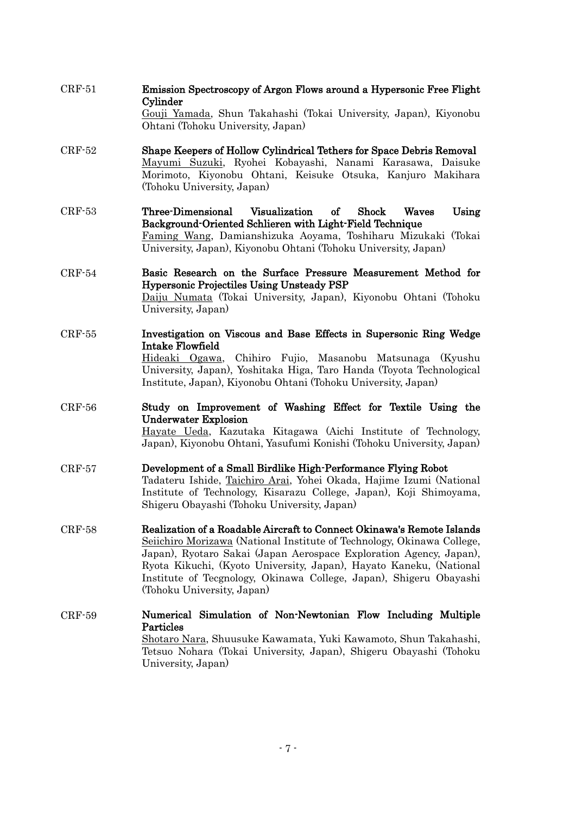CRF-52 CRF-53 CRF-54 CRF-55 CRF-56 CRF-57 CRF-58 CRF-59 Gouji Yamada, Shun Takahashi (Tokai University, Japan), Kiyonobu Ohtani (Tohoku University, Japan) Shape Keepers of Hollow Cylindrical Tethers for Space Debris Removal Mayumi Suzuki, Ryohei Kobayashi, Nanami Karasawa, Daisuke Morimoto, Kiyonobu Ohtani, Keisuke Otsuka, Kanjuro Makihara (Tohoku University, Japan) Three-Dimensional Visualization of Shock Waves Using Background-Oriented Schlieren with Light-Field Technique Faming Wang, Damianshizuka Aoyama, Toshiharu Mizukaki (Tokai University, Japan), Kiyonobu Ohtani (Tohoku University, Japan) Basic Research on the Surface Pressure Measurement Method for Hypersonic Projectiles Using Unsteady PSP Daiju Numata (Tokai University, Japan), Kiyonobu Ohtani (Tohoku University, Japan) Investigation on Viscous and Base Effects in Supersonic Ring Wedge Intake Flowfield Hideaki Ogawa, Chihiro Fujio, Masanobu Matsunaga (Kyushu University, Japan), Yoshitaka Higa, Taro Handa (Toyota Technological Institute, Japan), Kiyonobu Ohtani (Tohoku University, Japan) Study on Improvement of Washing Effect for Textile Using the Underwater Explosion Hayate Ueda, Kazutaka Kitagawa (Aichi Institute of Technology, Japan), Kiyonobu Ohtani, Yasufumi Konishi (Tohoku University, Japan) Development of a Small Birdlike High-Performance Flying Robot Tadateru Ishide, Taichiro Arai, Yohei Okada, Hajime Izumi (National Institute of Technology, Kisarazu College, Japan), Koji Shimoyama, Shigeru Obayashi (Tohoku University, Japan) Realization of a Roadable Aircraft to Connect Okinawa's Remote Islands Seiichiro Morizawa (National Institute of Technology, Okinawa College, Japan), Ryotaro Sakai (Japan Aerospace Exploration Agency, Japan), Ryota Kikuchi, (Kyoto University, Japan), Hayato Kaneku, (National Institute of Tecgnology, Okinawa College, Japan), Shigeru Obayashi (Tohoku University, Japan) Numerical Simulation of Non-Newtonian Flow Including Multiple Particles Shotaro Nara, Shuusuke Kawamata, Yuki Kawamoto, Shun Takahashi, Tetsuo Nohara (Tokai University, Japan), Shigeru Obayashi (Tohoku University, Japan)

Emission Spectroscopy of Argon Flows around a Hypersonic Free Flight

CRF-51

Cylinder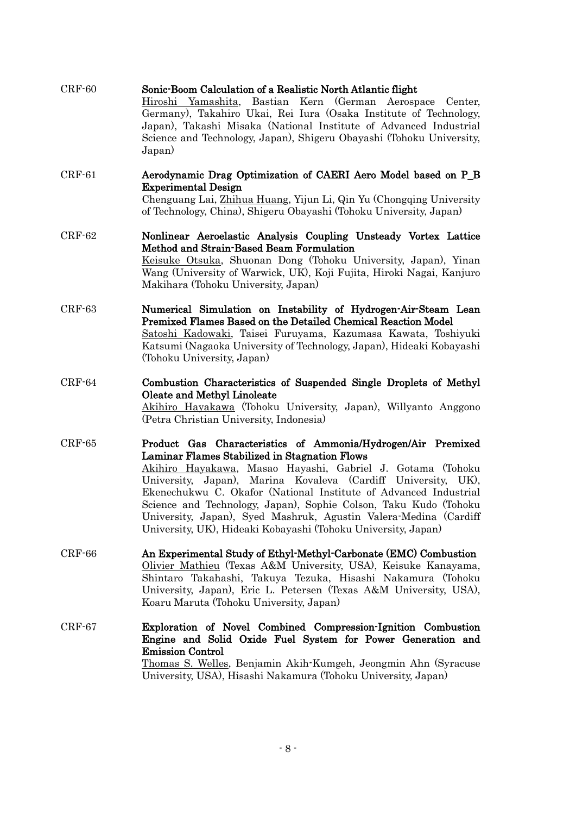| $CRF-60$ | Sonic-Boom Calculation of a Realistic North Atlantic flight<br>Hiroshi Yamashita, Bastian Kern (German Aerospace Center,<br>Germany), Takahiro Ukai, Rei Iura (Osaka Institute of Technology,<br>Japan), Takashi Misaka (National Institute of Advanced Industrial<br>Science and Technology, Japan), Shigeru Obayashi (Tohoku University,<br>Japan)                                                                                                                                                                      |
|----------|---------------------------------------------------------------------------------------------------------------------------------------------------------------------------------------------------------------------------------------------------------------------------------------------------------------------------------------------------------------------------------------------------------------------------------------------------------------------------------------------------------------------------|
| $CRF-61$ | Aerodynamic Drag Optimization of CAERI Aero Model based on P_B<br><b>Experimental Design</b><br>Chenguang Lai, Zhihua Huang, Yijun Li, Qin Yu (Chongqing University<br>of Technology, China), Shigeru Obayashi (Tohoku University, Japan)                                                                                                                                                                                                                                                                                 |
| $CRF-62$ | Nonlinear Aeroelastic Analysis Coupling Unsteady Vortex Lattice<br>Method and Strain-Based Beam Formulation<br>Keisuke Otsuka, Shuonan Dong (Tohoku University, Japan), Yinan<br>Wang (University of Warwick, UK), Koji Fujita, Hiroki Nagai, Kanjuro<br>Makihara (Tohoku University, Japan)                                                                                                                                                                                                                              |
| $CRF-63$ | Numerical Simulation on Instability of Hydrogen-Air-Steam Lean<br>Premixed Flames Based on the Detailed Chemical Reaction Model<br>Satoshi Kadowaki, Taisei Furuyama, Kazumasa Kawata, Toshiyuki<br>Katsumi (Nagaoka University of Technology, Japan), Hideaki Kobayashi<br>(Tohoku University, Japan)                                                                                                                                                                                                                    |
| $CRF-64$ | Combustion Characteristics of Suspended Single Droplets of Methyl<br>Oleate and Methyl Linoleate<br>Akihiro Hayakawa (Tohoku University, Japan), Willyanto Anggono<br>(Petra Christian University, Indonesia)                                                                                                                                                                                                                                                                                                             |
| $CRF-65$ | Product Gas Characteristics of Ammonia/Hydrogen/Air Premixed<br>Laminar Flames Stabilized in Stagnation Flows<br>Akihiro Hayakawa, Masao Hayashi, Gabriel J. Gotama (Tohoku<br>University, Japan), Marina Kovaleva (Cardiff University, UK),<br>Ekenechukwu C. Okafor (National Institute of Advanced Industrial<br>Science and Technology, Japan), Sophie Colson, Taku Kudo (Tohoku<br>University, Japan), Syed Mashruk, Agustin Valera-Medina (Cardiff<br>University, UK), Hideaki Kobayashi (Tohoku University, Japan) |
| $CRF-66$ | An Experimental Study of Ethyl-Methyl-Carbonate (EMC) Combustion<br>Olivier Mathieu (Texas A&M University, USA), Keisuke Kanayama,<br>Shintaro Takahashi, Takuya Tezuka, Hisashi Nakamura (Tohoku<br>University, Japan), Eric L. Petersen (Texas A&M University, USA),<br>Koaru Maruta (Tohoku University, Japan)                                                                                                                                                                                                         |
| $CRF-67$ | Exploration of Novel Combined Compression-Ignition Combustion<br>Engine and Solid Oxide Fuel System for Power Generation and<br><b>Emission Control</b><br><u>Thomas S. Welles, Benjamin Akih Kumgeh, Jeongmin Ahn (Syracuse</u><br>University, USA), Hisashi Nakamura (Tohoku University, Japan)                                                                                                                                                                                                                         |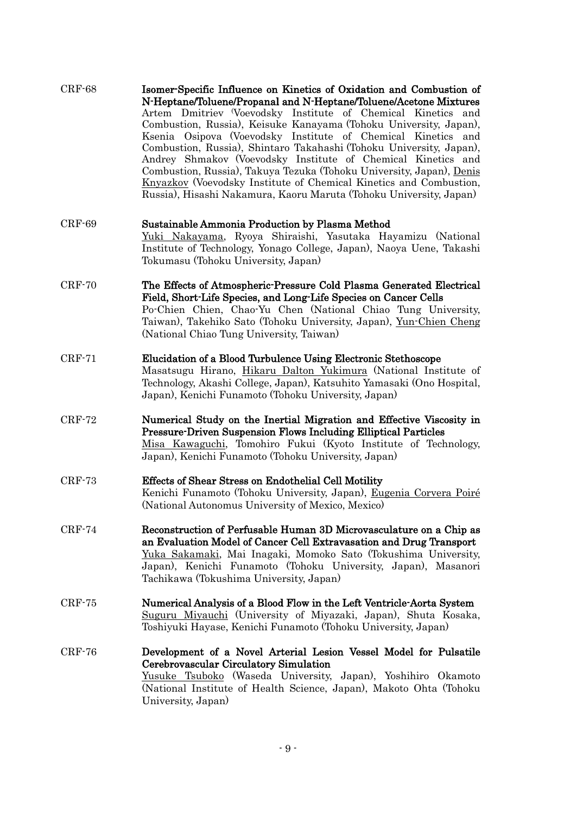| $CRF-68$ | Isomer-Specific Influence on Kinetics of Oxidation and Combustion of<br>N-Heptane/Toluene/Propanal and N-Heptane/Toluene/Acetone Mixtures<br>Artem Dmitriev (Voevodsky Institute of Chemical Kinetics and<br>Combustion, Russia), Keisuke Kanayama (Tohoku University, Japan),<br>Ksenia Osipova (Voevodsky Institute of Chemical Kinetics and<br>Combustion, Russia), Shintaro Takahashi (Tohoku University, Japan),<br>Andrey Shmakov (Voevodsky Institute of Chemical Kinetics and<br>Combustion, Russia), Takuya Tezuka (Tohoku University, Japan), Denis<br><b>Knyazkov</b> (Voevodsky Institute of Chemical Kinetics and Combustion,<br>Russia), Hisashi Nakamura, Kaoru Maruta (Tohoku University, Japan) |
|----------|------------------------------------------------------------------------------------------------------------------------------------------------------------------------------------------------------------------------------------------------------------------------------------------------------------------------------------------------------------------------------------------------------------------------------------------------------------------------------------------------------------------------------------------------------------------------------------------------------------------------------------------------------------------------------------------------------------------|
| $CRF-69$ | Sustainable Ammonia Production by Plasma Method<br>Yuki Nakayama, Ryoya Shiraishi, Yasutaka Hayamizu (National<br>Institute of Technology, Yonago College, Japan), Naoya Uene, Takashi<br>Tokumasu (Tohoku University, Japan)                                                                                                                                                                                                                                                                                                                                                                                                                                                                                    |
| $CRF-70$ | The Effects of Atmospheric-Pressure Cold Plasma Generated Electrical<br>Field, Short-Life Species, and Long-Life Species on Cancer Cells<br>Po-Chien Chien, Chao-Yu Chen (National Chiao Tung University,<br>Taiwan), Takehiko Sato (Tohoku University, Japan), Yun-Chien Cheng<br>(National Chiao Tung University, Taiwan)                                                                                                                                                                                                                                                                                                                                                                                      |
| $CRF-71$ | Elucidation of a Blood Turbulence Using Electronic Stethoscope<br>Masatsugu Hirano, Hikaru Dalton Yukimura (National Institute of<br>Technology, Akashi College, Japan), Katsuhito Yamasaki (Ono Hospital,<br>Japan), Kenichi Funamoto (Tohoku University, Japan)                                                                                                                                                                                                                                                                                                                                                                                                                                                |
| $CRF-72$ | Numerical Study on the Inertial Migration and Effective Viscosity in<br><b>Pressure-Driven Suspension Flows Including Elliptical Particles</b><br>Misa Kawaguchi, Tomohiro Fukui (Kyoto Institute of Technology,<br>Japan), Kenichi Funamoto (Tohoku University, Japan)                                                                                                                                                                                                                                                                                                                                                                                                                                          |
| $CRF-73$ | Effects of Shear Stress on Endothelial Cell Motility<br>Kenichi Funamoto (Tohoku University, Japan), Eugenia Corvera Poiré<br>(National Autonomus University of Mexico, Mexico)                                                                                                                                                                                                                                                                                                                                                                                                                                                                                                                                  |
| $CRF-74$ | Reconstruction of Perfusable Human 3D Microvasculature on a Chip as<br>an Evaluation Model of Cancer Cell Extravasation and Drug Transport<br>Yuka Sakamaki, Mai Inagaki, Momoko Sato (Tokushima University,<br>Japan), Kenichi Funamoto (Tohoku University, Japan), Masanori<br>Tachikawa (Tokushima University, Japan)                                                                                                                                                                                                                                                                                                                                                                                         |
| $CRF-75$ | Numerical Analysis of a Blood Flow in the Left Ventricle-Aorta System<br>Suguru Miyauchi (University of Miyazaki, Japan), Shuta Kosaka,<br>Toshiyuki Hayase, Kenichi Funamoto (Tohoku University, Japan)                                                                                                                                                                                                                                                                                                                                                                                                                                                                                                         |
| $CRF-76$ | Development of a Novel Arterial Lesion Vessel Model for Pulsatile<br>Cerebrovascular Circulatory Simulation<br><u>Yusuke Tsuboko</u> (Waseda University, Japan), Yoshihiro Okamoto<br>(National Institute of Health Science, Japan), Makoto Ohta (Tohoku<br>University, Japan)                                                                                                                                                                                                                                                                                                                                                                                                                                   |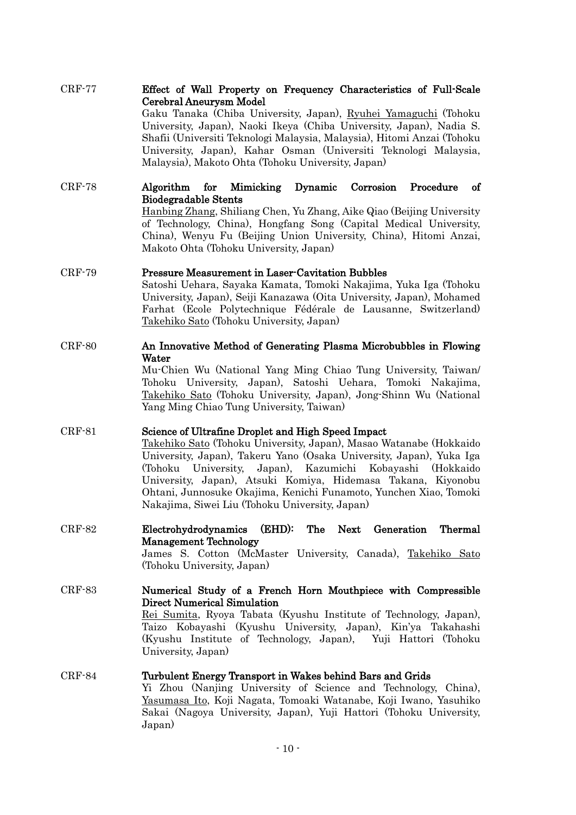| <b>CRF-77</b> | Effect of Wall Property on Frequency Characteristics of Full-Scale<br>Cerebral Aneurysm Model<br>Gaku Tanaka (Chiba University, Japan), Ryuhei Yamaguchi (Tohoku<br>University, Japan), Naoki Ikeya (Chiba University, Japan), Nadia S.<br>Shafii (Universiti Teknologi Malaysia, Malaysia), Hitomi Anzai (Tohoku<br>University, Japan), Kahar Osman (Universiti Teknologi Malaysia,<br>Malaysia), Makoto Ohta (Tohoku University, Japan)                 |
|---------------|-----------------------------------------------------------------------------------------------------------------------------------------------------------------------------------------------------------------------------------------------------------------------------------------------------------------------------------------------------------------------------------------------------------------------------------------------------------|
| $CRF-78$      | Corrosion<br>of<br>Algorithm<br>for Mimicking<br>Dynamic<br>Procedure<br><b>Biodegradable Stents</b><br>Hanbing Zhang, Shiliang Chen, Yu Zhang, Aike Qiao (Beijing University<br>of Technology, China), Hongfang Song (Capital Medical University,<br>China), Wenyu Fu (Beijing Union University, China), Hitomi Anzai,<br>Makoto Ohta (Tohoku University, Japan)                                                                                         |
| $CRF-79$      | <b>Pressure Measurement in Laser-Cavitation Bubbles</b><br>Satoshi Uehara, Sayaka Kamata, Tomoki Nakajima, Yuka Iga (Tohoku<br>University, Japan), Seiji Kanazawa (Oita University, Japan), Mohamed<br>Farhat (Ecole Polytechnique Fédérale de Lausanne, Switzerland)<br>Takehiko Sato (Tohoku University, Japan)                                                                                                                                         |
| $CRF-80$      | An Innovative Method of Generating Plasma Microbubbles in Flowing<br>Water<br>Mu-Chien Wu (National Yang Ming Chiao Tung University, Taiwan/<br>Tohoku University, Japan), Satoshi Uehara, Tomoki Nakajima,<br>Takehiko Sato (Tohoku University, Japan), Jong-Shinn Wu (National<br>Yang Ming Chiao Tung University, Taiwan)                                                                                                                              |
| $CRF-81$      | Science of Ultrafine Droplet and High Speed Impact<br>Takehiko Sato (Tohoku University, Japan), Masao Watanabe (Hokkaido<br>University, Japan), Takeru Yano (Osaka University, Japan), Yuka Iga<br>University, Japan), Kazumichi Kobayashi<br>(Tohoku<br>(Hokkaido<br>University, Japan), Atsuki Komiya, Hidemasa Takana, Kiyonobu<br>Ohtani, Junnosuke Okajima, Kenichi Funamoto, Yunchen Xiao, Tomoki<br>Nakajima, Siwei Liu (Tohoku University, Japan) |
| $CRF-82$      | Electrohydrodynamics (EHD): The Next Generation Thermal<br><b>Management Technology</b><br>James S. Cotton (McMaster University, Canada), Takehiko Sato<br>(Tohoku University, Japan)                                                                                                                                                                                                                                                                     |
| $CRF-83$      | Numerical Study of a French Horn Mouthpiece with Compressible<br>Direct Numerical Simulation<br>Rei Sumita, Ryoya Tabata (Kyushu Institute of Technology, Japan),<br>Taizo Kobayashi (Kyushu University, Japan), Kin'ya Takahashi<br>(Kyushu Institute of Technology, Japan), Yuji Hattori (Tohoku<br>University, Japan)                                                                                                                                  |
| $CRF-84$      | Turbulent Energy Transport in Wakes behind Bars and Grids<br>Yi Zhou (Nanjing University of Science and Technology, China),<br>Yasumasa Ito, Koji Nagata, Tomoaki Watanabe, Koji Iwano, Yasuhiko<br>Sakai (Nagoya University, Japan), Yuji Hattori (Tohoku University,<br>Japan)                                                                                                                                                                          |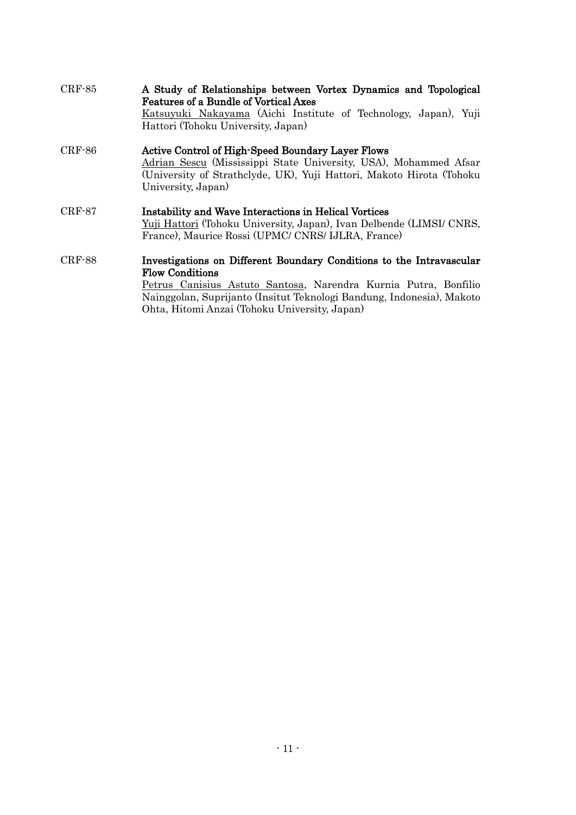| $CRF-85$      | A Study of Relationships between Vortex Dynamics and Topological<br><b>Features of a Bundle of Vortical Axes</b><br>Katsuyuki Nakayama (Aichi Institute of Technology, Japan), Yuji<br>Hattori (Tohoku University, Japan)                                                                   |
|---------------|---------------------------------------------------------------------------------------------------------------------------------------------------------------------------------------------------------------------------------------------------------------------------------------------|
| CRF-86        | <b>Active Control of High-Speed Boundary Layer Flows</b><br>Adrian Sescu (Mississippi State University, USA), Mohammed Afsar<br>(University of Strathclyde, UK), Yuji Hattori, Makoto Hirota (Tohoku<br>University, Japan)                                                                  |
| $CRF-87$      | Instability and Wave Interactions in Helical Vortices<br>Yuji Hattori (Tohoku University, Japan), Ivan Delbende (LIMSI/ CNRS,<br>France), Maurice Rossi (UPMC/ CNRS/ IJLRA, France)                                                                                                         |
| <b>CRF-88</b> | Investigations on Different Boundary Conditions to the Intravascular<br><b>Flow Conditions</b><br>Petrus Canisius Astuto Santosa, Narendra Kurnia Putra, Bonfilio<br>Nainggolan, Suprijanto (Insitut Teknologi Bandung, Indonesia), Makoto<br>Ohta, Hitomi Anzai (Tohoku University, Japan) |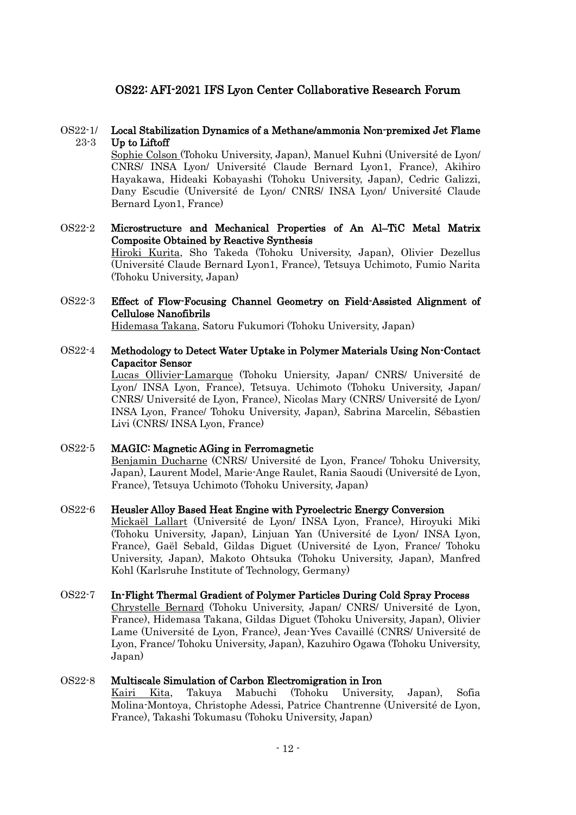# OS22: AFI-2021 IFS Lyon Center Collaborative Research Forum

#### OS22-1/ 23-3 Local Stabilization Dynamics of a Methane/ammonia Non-premixed Jet Flame Up to Liftoff

Sophie Colson (Tohoku University, Japan), Manuel Kuhni (Université de Lyon/ CNRS/ INSA Lyon/ Université Claude Bernard Lyon1, France), Akihiro Hayakawa, Hideaki Kobayashi (Tohoku University, Japan), Cedric Galizzi, Dany Escudie (Université de Lyon/ CNRS/ INSA Lyon/ Université Claude Bernard Lyon1, France)

## OS22-2 Microstructure and Mechanical Properties of An Al–TiC Metal Matrix Composite Obtained by Reactive Synthesis Hiroki Kurita, Sho Takeda (Tohoku University, Japan), Olivier Dezellus (Université Claude Bernard Lyon1, France), Tetsuya Uchimoto, Fumio Narita (Tohoku University, Japan)

### OS22-3 Effect of Flow-Focusing Channel Geometry on Field-Assisted Alignment of Cellulose Nanofibrils

Hidemasa Takana, Satoru Fukumori (Tohoku University, Japan)

### OS22-4 Methodology to Detect Water Uptake in Polymer Materials Using Non-Contact Capacitor Sensor

Lucas Ollivier-Lamarque (Tohoku Uniersity, Japan/ CNRS/ Université de Lyon/ INSA Lyon, France), Tetsuya. Uchimoto (Tohoku University, Japan/ CNRS/ Université de Lyon, France), Nicolas Mary (CNRS/ Université de Lyon/ INSA Lyon, France/ Tohoku University, Japan), Sabrina Marcelin, Sébastien Livi (CNRS/ INSA Lyon, France)

### OS22-5 MAGIC: Magnetic AGing in Ferromagnetic Benjamin Ducharne (CNRS/ Université de Lyon, France/ Tohoku University, Japan), Laurent Model, Marie-Ange Raulet, Rania Saoudi (Université de Lyon, France), Tetsuya Uchimoto (Tohoku University, Japan)

#### OS22-6 Heusler Alloy Based Heat Engine with Pyroelectric Energy Conversion

Mickaël Lallart (Université de Lyon/ INSA Lyon, France), Hiroyuki Miki (Tohoku University, Japan), Linjuan Yan (Université de Lyon/ INSA Lyon, France), Gaël Sebald, Gildas Diguet (Université de Lyon, France/ Tohoku University, Japan), Makoto Ohtsuka (Tohoku University, Japan), Manfred Kohl (Karlsruhe Institute of Technology, Germany)

#### OS22-7 In-Flight Thermal Gradient of Polymer Particles During Cold Spray Process

Chrystelle Bernard (Tohoku University, Japan/ CNRS/ Université de Lyon, France), Hidemasa Takana, Gildas Diguet (Tohoku University, Japan), Olivier Lame (Université de Lyon, France), Jean-Yves Cavaillé (CNRS/ Université de Lyon, France/ Tohoku University, Japan), Kazuhiro Ogawa (Tohoku University, Japan)

#### OS22-8 Multiscale Simulation of Carbon Electromigration in Iron

Kairi Kita, Takuya Mabuchi (Tohoku University, Japan), Sofia Molina-Montoya, Christophe Adessi, Patrice Chantrenne (Université de Lyon, France), Takashi Tokumasu (Tohoku University, Japan)